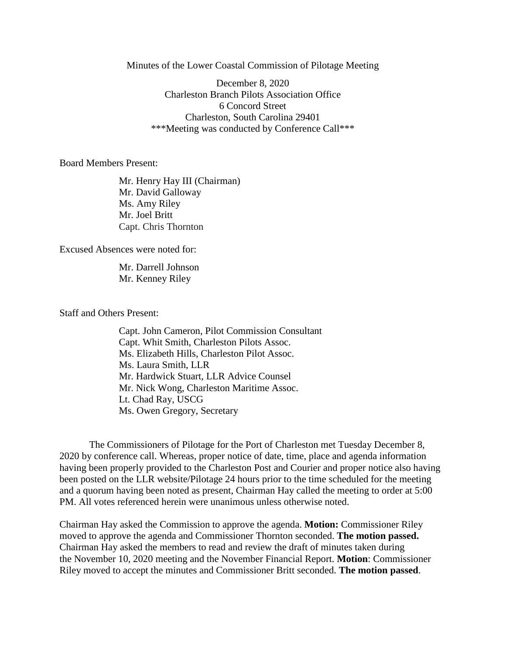Minutes of the Lower Coastal Commission of Pilotage Meeting

December 8, 2020 Charleston Branch Pilots Association Office 6 Concord Street Charleston, South Carolina 29401 \*\*\*Meeting was conducted by Conference Call\*\*\*

Board Members Present:

Mr. Henry Hay III (Chairman) Mr. David Galloway Ms. Amy Riley Mr. Joel Britt Capt. Chris Thornton

Excused Absences were noted for:

Mr. Darrell Johnson Mr. Kenney Riley

Staff and Others Present:

Capt. John Cameron, Pilot Commission Consultant Capt. Whit Smith, Charleston Pilots Assoc. Ms. Elizabeth Hills, Charleston Pilot Assoc. Ms. Laura Smith, LLR Mr. Hardwick Stuart, LLR Advice Counsel Mr. Nick Wong, Charleston Maritime Assoc. Lt. Chad Ray, USCG Ms. Owen Gregory, Secretary

The Commissioners of Pilotage for the Port of Charleston met Tuesday December 8, 2020 by conference call. Whereas, proper notice of date, time, place and agenda information having been properly provided to the Charleston Post and Courier and proper notice also having been posted on the LLR website/Pilotage 24 hours prior to the time scheduled for the meeting and a quorum having been noted as present, Chairman Hay called the meeting to order at 5:00 PM. All votes referenced herein were unanimous unless otherwise noted.

Chairman Hay asked the Commission to approve the agenda. **Motion:** Commissioner Riley moved to approve the agenda and Commissioner Thornton seconded. **The motion passed.** Chairman Hay asked the members to read and review the draft of minutes taken during the November 10, 2020 meeting and the November Financial Report. **Motion**: Commissioner Riley moved to accept the minutes and Commissioner Britt seconded. **The motion passed**.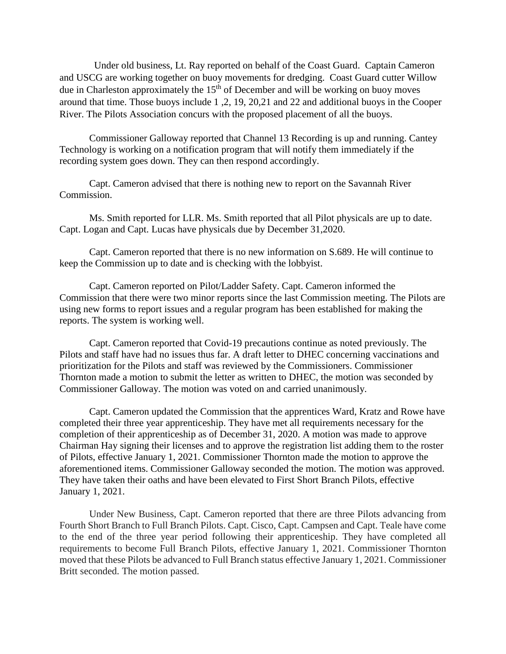Under old business, Lt. Ray reported on behalf of the Coast Guard. Captain Cameron and USCG are working together on buoy movements for dredging. Coast Guard cutter Willow due in Charleston approximately the  $15<sup>th</sup>$  of December and will be working on buoy moves around that time. Those buoys include 1 ,2, 19, 20,21 and 22 and additional buoys in the Cooper River. The Pilots Association concurs with the proposed placement of all the buoys.

 Commissioner Galloway reported that Channel 13 Recording is up and running. Cantey Technology is working on a notification program that will notify them immediately if the recording system goes down. They can then respond accordingly.

 Capt. Cameron advised that there is nothing new to report on the Savannah River Commission.

Ms. Smith reported for LLR. Ms. Smith reported that all Pilot physicals are up to date. Capt. Logan and Capt. Lucas have physicals due by December 31,2020.

Capt. Cameron reported that there is no new information on S.689. He will continue to keep the Commission up to date and is checking with the lobbyist.

Capt. Cameron reported on Pilot/Ladder Safety. Capt. Cameron informed the Commission that there were two minor reports since the last Commission meeting. The Pilots are using new forms to report issues and a regular program has been established for making the reports. The system is working well.

Capt. Cameron reported that Covid-19 precautions continue as noted previously. The Pilots and staff have had no issues thus far. A draft letter to DHEC concerning vaccinations and prioritization for the Pilots and staff was reviewed by the Commissioners. Commissioner Thornton made a motion to submit the letter as written to DHEC, the motion was seconded by Commissioner Galloway. The motion was voted on and carried unanimously.

Capt. Cameron updated the Commission that the apprentices Ward, Kratz and Rowe have completed their three year apprenticeship. They have met all requirements necessary for the completion of their apprenticeship as of December 31, 2020. A motion was made to approve Chairman Hay signing their licenses and to approve the registration list adding them to the roster of Pilots, effective January 1, 2021. Commissioner Thornton made the motion to approve the aforementioned items. Commissioner Galloway seconded the motion. The motion was approved. They have taken their oaths and have been elevated to First Short Branch Pilots, effective January 1, 2021.

Under New Business, Capt. Cameron reported that there are three Pilots advancing from Fourth Short Branch to Full Branch Pilots. Capt. Cisco, Capt. Campsen and Capt. Teale have come to the end of the three year period following their apprenticeship. They have completed all requirements to become Full Branch Pilots, effective January 1, 2021. Commissioner Thornton moved that these Pilots be advanced to Full Branch status effective January 1, 2021. Commissioner Britt seconded. The motion passed.